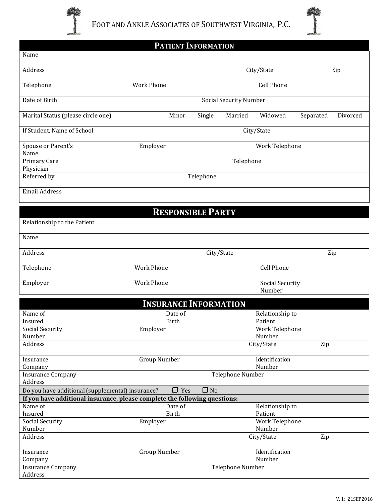



|                                                                            | <b>PATIENT INFORMATION</b>                     |           |                               |                          |                       |
|----------------------------------------------------------------------------|------------------------------------------------|-----------|-------------------------------|--------------------------|-----------------------|
| Name                                                                       |                                                |           |                               |                          |                       |
| Address                                                                    |                                                |           |                               | City/State               | Zip                   |
| Telephone                                                                  | <b>Work Phone</b>                              |           |                               | <b>Cell Phone</b>        |                       |
| Date of Birth                                                              |                                                |           | <b>Social Security Number</b> |                          |                       |
| Marital Status (please circle one)                                         | Minor                                          | Single    | Married                       | Widowed                  | Separated<br>Divorced |
| If Student, Name of School                                                 |                                                |           |                               | City/State               |                       |
| Spouse or Parent's<br>Name                                                 | Employer                                       |           |                               | Work Telephone           |                       |
| Primary Care<br>Physician                                                  |                                                |           | Telephone                     |                          |                       |
| Referred by                                                                |                                                | Telephone |                               |                          |                       |
| <b>Email Address</b>                                                       |                                                |           |                               |                          |                       |
|                                                                            | <b>RESPONSIBLE PARTY</b>                       |           |                               |                          |                       |
| Relationship to the Patient                                                |                                                |           |                               |                          |                       |
| Name                                                                       |                                                |           |                               |                          |                       |
| Address                                                                    | City/State<br>Zip                              |           |                               |                          |                       |
| Telephone                                                                  | <b>Work Phone</b>                              |           |                               | <b>Cell Phone</b>        |                       |
| Employer                                                                   | <b>Work Phone</b><br>Social Security<br>Number |           |                               |                          |                       |
|                                                                            | <b>INSURANCE INFORMATION</b>                   |           |                               |                          |                       |
| Name of                                                                    | Date of                                        |           |                               | Relationship to          |                       |
| Insured                                                                    | <b>Birth</b>                                   |           |                               | Patient                  |                       |
| <b>Social Security</b>                                                     | Employer                                       |           |                               | Work Telephone           |                       |
| Number                                                                     |                                                |           |                               | Number                   |                       |
| Address                                                                    |                                                |           |                               | City/State               | Zip                   |
| Insurance<br>Company                                                       | Group Number                                   |           |                               | Identification<br>Number |                       |
| <b>Insurance Company</b><br>Address                                        |                                                |           | Telephone Number              |                          |                       |
| Do you have additional (supplemental) insurance?                           | $\Box$ Yes                                     | $\Box$ No |                               |                          |                       |
| If you have additional insurance, please complete the following questions: |                                                |           |                               |                          |                       |
| Name of                                                                    | Date of                                        |           |                               | Relationship to          |                       |
| Insured                                                                    | Birth                                          |           |                               | Patient                  |                       |
| <b>Social Security</b><br>Number                                           | Employer                                       |           |                               | Work Telephone<br>Number |                       |
| Address                                                                    |                                                |           |                               | City/State               | Zip                   |
| Insurance                                                                  | <b>Group Number</b>                            |           |                               | Identification           |                       |
| Company                                                                    | Number                                         |           |                               |                          |                       |
| <b>Insurance Company</b><br>Address                                        |                                                |           | Telephone Number              |                          |                       |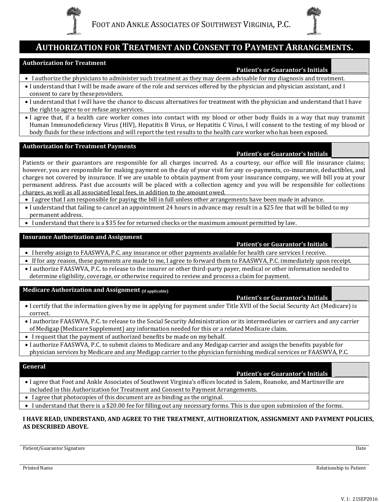



# **AUTHORIZATION FOR TREATMENT AND CONSENT TO PAYMENT ARRANGEMENTS.**

#### **Authorization for Treatment**

#### **Patient's or Guarantor's Initials**

- I authorize the physicians to administer such treatment as they may deem advisable for my diagnosis and treatment.
- I understand that I will be made aware of the role and services offered by the physician and physician assistant, and I consent to care by these providers.
- I understand that I will have the chance to discuss alternatives for treatment with the physician and understand that I have the right to agree to or refuse anyservices.
- I agree that, if a health care worker comes into contact with my blood or other body fluids in a way that may transmit Human Immunodeficiency Virus (HIV), Hepatitis B Virus, or Hepatitis C Virus, I will consent to the testing of my blood or body fluids for these infections and will report the test results to the health care worker who has been exposed.

#### **Authorization for Treatment Payments**

#### **Patient's or Guarantor's Initials**

**Patient's or Guarantor's Initials**

**Patient's or Guarantor's Initials**

Patients or their guarantors are responsible for all charges incurred. As a courtesy, our office will file insurance claims; however, you are responsible for making payment on the day of your visit for any co-payments, co-insurance, deductibles, and charges not covered by insurance. If we are unable to obtain payment from your insurance company, we will bill you at your permanent address. Past due accounts will be placed with a collection agency and you will be responsible for collections charges, as well as all associated legal fees, in addition to the amount owed.

- I agree that I am responsible for paying the bill in full unless other arrangements have been made in advance.
- I understand that failing to cancel an appointment 24 hours in advance may result in a \$25 fee that will be billed to my permanent address.
- I understand that there is a \$35 fee for returned checks or the maximum amount permitted by law.

#### **Insurance Authorization and Assignment**

- I hereby assign to FAASWVA, P.C. any insurance or other payments available for health care services I receive.
- If for any reason, these payments are made to me, I agree to forward them to FAASWVA, P.C. immediately upon receipt.
- I authorize FAASWVA, P.C. to release to the insurer or other third-party payer, medical or other information needed to determine eligibility, coverage, or otherwise required to review and process a claim for payment.

#### **Medicare Authorization and Assignment (If applicable)**

- I certify that the information given by me in applying for payment under Title XVII of the Social Security Act (Medicare) is correct.
- I authorize FAASWVA, P.C. to release to the Social Security Administration or its intermediaries or carriers and any carrier of Medigap (Medicare Supplement) any information needed for this or a related Medicare claim.
- I request that the payment of authorized benefits be made on mybehalf.
- I authorize FAASWVA, P.C. to submit claims to Medicare and any Medigap carrier and assign the benefits payable for physician services by Medicare and any Medigap carrier to the physician furnishing medical services or FAASWVA, P.C.

#### **General**

#### **Patient's or Guarantor's Initials**

- I agree that Foot and Ankle Associates of Southwest Virginia's offices located in Salem, Roanoke, and Martinsville are included in this Authorization for Treatment and Consent to Payment Arrangements.
- I agree that photocopies of this document are as binding as the original.
- I understand that there is a \$20.00 fee for filling out any necessary forms. This is due upon submission of the forms.

#### **I HAVE READ, UNDERSTAND, AND AGREE TO THE TREATMENT, AUTHORIZATION, ASSIGNMENT AND PAYMENT POLICIES, AS DESCRIBED ABOVE.**

Patient/Guarantor Signature Date Date of the Date of the Date of the Date of the Date of the Date of the Date of the Date of the Date of the Date of the Date of the Date of the Date of the Date of the Date of the Date of t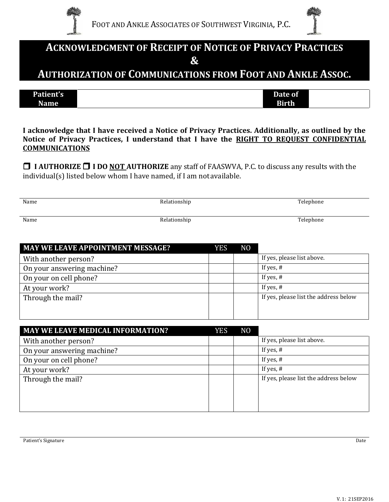



# **ACKNOWLEDGMENT OF RECEIPT OF NOTICE OF PRIVACY PRACTICES &**

**AUTHORIZATION OF COMMUNICATIONS FROM FOOT AND ANKLE ASSOC.**

| Patient's | Date of      |  |
|-----------|--------------|--|
| Name      | <b>Birth</b> |  |

**I acknowledge that I have received a Notice of Privacy Practices. Additionally, as outlined by the Notice of Privacy Practices, I understand that I have the RIGHT TO REQUEST CONFIDENTIAL COMMUNICATIONS**

 **I AUTHORIZE I DO NOT AUTHORIZE** any staff of FAASWVA, P.C. to discuss any results with the individual(s) listed below whom I have named, if I am notavailable.

| Name | Relationship | Telephone |
|------|--------------|-----------|
| Name | Relationship | Telephone |

| <b>MAY WE LEAVE APPOINTMENT MESSAGE?</b> | <b>YES</b> | N <sub>O</sub> |                                       |
|------------------------------------------|------------|----------------|---------------------------------------|
| With another person?                     |            |                | If yes, please list above.            |
| On your answering machine?               |            |                | If yes, $#$                           |
| On your on cell phone?                   |            |                | If yes, $#$                           |
| At your work?                            |            |                | If yes, $#$                           |
| Through the mail?                        |            |                | If yes, please list the address below |
|                                          |            |                |                                       |
|                                          |            |                |                                       |
| <b>MAY WE LEAVE MEDICAL INFORMATION?</b> | <b>YES</b> | N <sub>0</sub> |                                       |

| <b>MAY WE LEAVE MEDICAL INFORMATION?</b> | Y E.S | NU. |                                       |
|------------------------------------------|-------|-----|---------------------------------------|
| With another person?                     |       |     | If yes, please list above.            |
| On your answering machine?               |       |     | If yes, $#$                           |
| On your on cell phone?                   |       |     | If yes, $#$                           |
| At your work?                            |       |     | If yes, $#$                           |
| Through the mail?                        |       |     | If yes, please list the address below |
|                                          |       |     |                                       |
|                                          |       |     |                                       |
|                                          |       |     |                                       |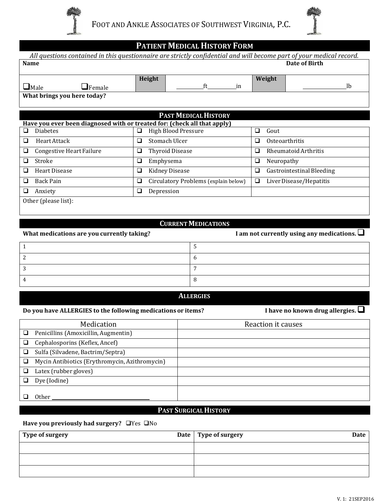



# **PATIENT MEDICAL HISTORY FORM**

|                                                                          | All questions contained in this questionnaire are strictly confidential and will become part of your medical record. |                                |
|--------------------------------------------------------------------------|----------------------------------------------------------------------------------------------------------------------|--------------------------------|
| Name                                                                     |                                                                                                                      | Date of Birth                  |
| $\Box$ Male<br>$\mathbf{\square}$ Female                                 | Height<br>ft<br>in                                                                                                   | Weight<br><sup>1</sup>         |
| What brings you here today?                                              |                                                                                                                      |                                |
|                                                                          |                                                                                                                      |                                |
|                                                                          | <b>PAST MEDICAL HISTORY</b>                                                                                          |                                |
| Have you ever been diagnosed with or treated for: (check all that apply) |                                                                                                                      |                                |
| □<br><b>Diabetes</b>                                                     | High Blood Pressure<br>❏                                                                                             | $\Box$<br>Gout                 |
| ❏<br>Heart Attack                                                        | Stomach Ulcer<br>❏                                                                                                   | ❏<br>Osteoarthritis            |
| <b>Congestive Heart Failure</b><br>❏                                     | <b>Thyroid Disease</b><br>❏                                                                                          | Rheumatoid Arthritis<br>$\Box$ |
| □<br>Stroke                                                              | Emphysema<br>❏                                                                                                       | ❏<br>Neuropathy                |
| <b>Heart Disease</b><br>□                                                | <b>Kidney Disease</b><br>❏                                                                                           | ❏<br>Gastrointestinal Bleeding |
| Back Pain<br>❏                                                           | Circulatory Problems (explain below)<br>⊔                                                                            | ❏<br>Liver Disease/Hepatitis   |
| ❏<br>Anxiety                                                             | ❏<br>Depression                                                                                                      |                                |
| Other (please list):                                                     |                                                                                                                      |                                |
|                                                                          |                                                                                                                      |                                |

#### **CURRENTMEDICATIONS**

| What medications are you currently taking? | I am not currently using any medications. $\Box$ |
|--------------------------------------------|--------------------------------------------------|
|                                            |                                                  |
|                                            | υ                                                |
|                                            |                                                  |
|                                            |                                                  |

#### **ALLERGIES**

## **Do you have ALLERGIES to the following medications or items? I have no known drug allergies.**

|   | Medication                                     | Reaction it causes |
|---|------------------------------------------------|--------------------|
|   | Penicillins (Amoxicillin, Augmentin)           |                    |
|   | Cephalosporins (Keflex, Ancef)                 |                    |
|   | Sulfa (Silvadene, Bactrim/Septra)              |                    |
| ❏ | Mycin Antibiotics (Erythromycin, Azithromycin) |                    |
|   | Latex (rubber gloves)                          |                    |
|   | Dye (Iodine)                                   |                    |
|   | Other                                          |                    |
|   |                                                |                    |

## **PAST SURGICALHISTORY .**

#### Have you previously had surgery?  $\Box$  Yes  $\Box$  No

| Type of surgery | Date   Type of surgery<br>Date |
|-----------------|--------------------------------|
|                 |                                |
|                 |                                |
|                 |                                |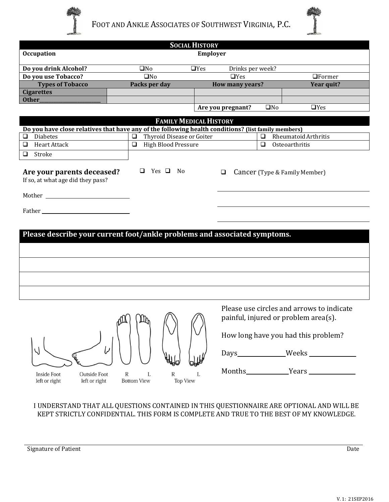



|                                                                                                                |                                                           | <b>SOCIAL HISTORY</b>         |                        |              |                                                                                                                                                 |
|----------------------------------------------------------------------------------------------------------------|-----------------------------------------------------------|-------------------------------|------------------------|--------------|-------------------------------------------------------------------------------------------------------------------------------------------------|
| <b>Occupation</b>                                                                                              |                                                           | <b>Employer</b>               |                        |              |                                                                                                                                                 |
| Do you drink Alcohol?                                                                                          | $\square$ No                                              | $\Box$ Yes                    | Drinks per week?       |              |                                                                                                                                                 |
| Do you use Tobacco?                                                                                            | $\square$ No                                              |                               | $\Box$ Yes             |              | $\Box$ Former                                                                                                                                   |
| <b>Types of Tobacco</b>                                                                                        | Packs per day                                             |                               | <b>How many years?</b> |              | Year quit?                                                                                                                                      |
| <b>Cigarettes</b>                                                                                              |                                                           |                               |                        |              |                                                                                                                                                 |
| Other_                                                                                                         |                                                           |                               |                        |              |                                                                                                                                                 |
|                                                                                                                |                                                           |                               | Are you pregnant?      | $\square$ No | $\Box$ Yes                                                                                                                                      |
|                                                                                                                |                                                           | <b>FAMILY MEDICAL HISTORY</b> |                        |              |                                                                                                                                                 |
| Do you have close relatives that have any of the following health conditions? (list family members)            |                                                           |                               |                        |              |                                                                                                                                                 |
| Diabetes<br>$\Box$                                                                                             | Thyroid Disease or Goiter<br>$\Box$                       |                               |                        | $\Box$       | Rheumatoid Arthritis                                                                                                                            |
| Heart Attack<br>$\Box$                                                                                         | High Blood Pressure<br>$\Box$                             |                               |                        | $\Box$       | Osteoarthritis                                                                                                                                  |
| Stroke<br>$\Box$                                                                                               |                                                           |                               |                        |              |                                                                                                                                                 |
| If so, at what age did they pass?<br>Please describe your current foot/ankle problems and associated symptoms. |                                                           |                               |                        |              |                                                                                                                                                 |
| Y                                                                                                              | (m)<br>$\mathbb{R}$                                       |                               | $_{\text{Days}}$       |              | Please use circles and arrows to indicate<br>painful, injured or problem area(s).<br>How long have you had this problem?<br>$\mathsf{\_}$ Weeks |
|                                                                                                                |                                                           |                               |                        |              |                                                                                                                                                 |
| <b>Inside Foot</b><br><b>Outside Foot</b><br>left or right<br>left or right                                    | ${\mathbb R}$<br>${\mathbb R}$<br>L<br><b>Bottom View</b> | L<br><b>Top View</b>          |                        |              |                                                                                                                                                 |

I UNDERSTAND THAT ALL QUESTIONS CONTAINED IN THIS QUESTIONNAIRE ARE OPTIONAL AND WILL BE KEPT STRICTLY CONFIDENTIAL. THIS FORM IS COMPLETE AND TRUE TO THE BEST OF MY KNOWLEDGE.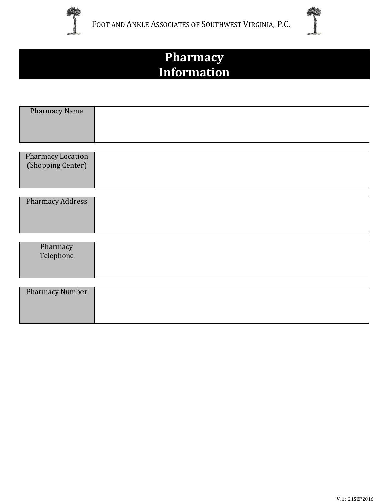



# **Pharmacy Information**

| <b>Pharmacy Name</b>                              |  |
|---------------------------------------------------|--|
|                                                   |  |
| $\mathbf{D}$ la anno a ann $\mathbf{I}$ a an than |  |

| <b>Pharmacy Location</b> |  |
|--------------------------|--|
| (Shopping Center)        |  |
|                          |  |
|                          |  |
|                          |  |

| <b>Pharmacy Address</b> |  |
|-------------------------|--|
|                         |  |
|                         |  |
|                         |  |

| Pharmacy<br>Telephone  |  |
|------------------------|--|
|                        |  |
| <b>Pharmacy Number</b> |  |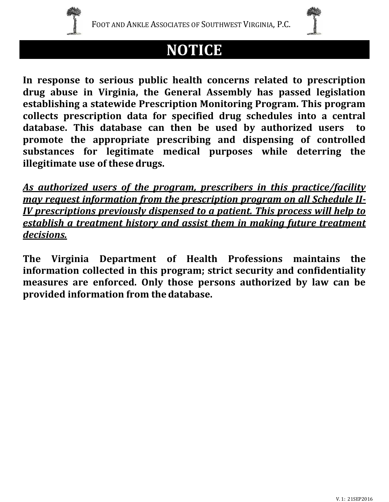

# **NOTICE**

**In response to serious public health concerns related to prescription drug abuse in Virginia, the General Assembly has passed legislation establishing a statewide Prescription Monitoring Program. This program collects prescription data for specified drug schedules into a central database. This database can then be used by authorized users to promote the appropriate prescribing and dispensing of controlled substances for legitimate medical purposes while deterring the illegitimate use of these drugs.**

*As authorized users of the program, prescribers in this practice/facility may request information from the prescription program on all Schedule II-IV prescriptions previously dispensed to a patient. This process will help to establish a treatment history and assist them in making future treatment decisions.*

**The Virginia Department of Health Professions maintains the information collected in this program; strict security and confidentiality measures are enforced. Only those persons authorized by law can be provided information from thedatabase.**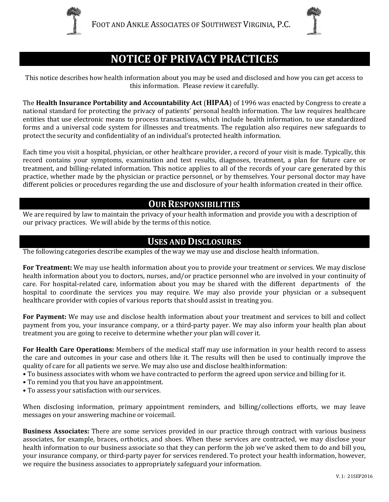



# **NOTICE OF PRIVACY PRACTICES**

This notice describes how health information about you may be used and disclosed and how you can get access to this information. Please review it carefully.

The **Health Insurance Portability and Accountability Act** (**HIPAA**) of 1996 was enacted by Congress to create a national standard for protecting the privacy of patients' personal health information. The law requires healthcare entities that use electronic means to process transactions, which include health information, to use standardized forms and a universal code system for illnesses and treatments. The regulation also requires new safeguards to protect the security and confidentiality of an individual's protected health information.

Each time you visit a hospital, physician, or other healthcare provider, a record of your visit is made. Typically, this record contains your symptoms, examination and test results, diagnoses, treatment, a plan for future care or treatment, and billing-related information. This notice applies to all of the records of your care generated by this practice, whether made by the physician or practice personnel, or by themselves. Your personal doctor may have different policies or procedures regarding the use and disclosure of your health information created in their office.

## **OUR RESPONSIBILITIES**

We are required by law to maintain the privacy of your health information and provide you with a description of our privacy practices. We will abide by the terms of this notice.

# **USES AND DISCLOSURES**

The following categories describe examples of the way we may use and disclose health information.

**For Treatment:** We may use health information about you to provide your treatment or services. We may disclose health information about you to doctors, nurses, and/or practice personnel who are involved in your continuity of care. For hospital-related care, information about you may be shared with the different departments of the hospital to coordinate the services you may require. We may also provide your physician or a subsequent healthcare provider with copies of various reports that should assist in treating you.

**For Payment:** We may use and disclose health information about your treatment and services to bill and collect payment from you, your insurance company, or a third-party payer. We may also inform your health plan about treatment you are going to receive to determine whether your plan will cover it.

**For Health Care Operations:** Members of the medical staff may use information in your health record to assess the care and outcomes in your case and others like it. The results will then be used to continually improve the quality of care for all patients we serve. We may also use and disclose healthinformation:

- To business associates with whom we have contracted to perform the agreed upon service and billing for it.
- To remind you that you have an appointment.
- To assess your satisfaction with our services.

When disclosing information, primary appointment reminders, and billing/collections efforts, we may leave messages on your answering machine or voicemail.

**Business Associates:** There are some services provided in our practice through contract with various business associates, for example, braces, orthotics, and shoes. When these services are contracted, we may disclose your health information to our business associate so that they can perform the job we've asked them to do and bill you, your insurance company, or third-party payer for services rendered. To protect your health information, however, we require the business associates to appropriately safeguard your information.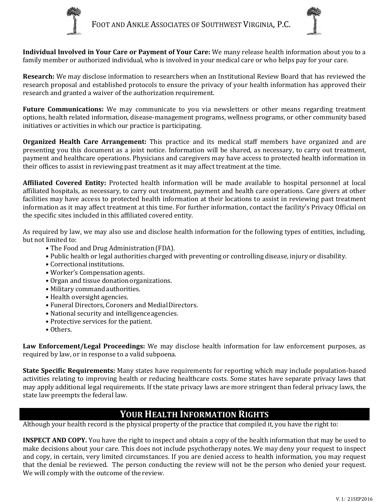



**Individual Involved in Your Care or Payment of Your Care:** We many release health information about you to a family member or authorized individual, who is involved in your medical care or who helps pay for your care.

**Research:** We may disclose information to researchers when an Institutional Review Board that has reviewed the research proposal and established protocols to ensure the privacy of your health information has approved their research and granted a waiver of the authorization requirement.

**Future Communications:** We may communicate to you via newsletters or other means regarding treatment options, health related information, disease-management programs, wellness programs, or other community based initiatives or activities in which our practice is participating.

**Organized Health Care Arrangement:** This practice and its medical staff members have organized and are presenting you this document as a joint notice. Information will be shared, as necessary, to carry out treatment, payment and healthcare operations. Physicians and caregivers may have access to protected health information in their offices to assist in reviewing past treatment as it may affect treatment at the time.

**Affiliated Covered Entity:** Protected health information will be made available to hospital personnel at local affiliated hospitals, as necessary, to carry out treatment, payment and health care operations. Care givers at other facilities may have access to protected health information at their locations to assist in reviewing past treatment information as it may affect treatment at this time. For further information, contact the facility's Privacy Official on the specific sites included in this affiliated covered entity.

As required by law, we may also use and disclose health information for the following types of entities, including, but not limited to:

- The Food and Drug Administration (FDA).
- Public health or legal authorities charged with preventing or controlling disease, injury or disability.
- Correctional institutions.
- Worker's Compensation agents.
- Organ and tissue donation organizations.
- Military command authorities.
- Health oversight agencies.
- Funeral Directors, Coroners and MedialDirectors.
- National security and intelligence agencies.
- Protective services for the patient.
- Others.

**Law Enforcement/Legal Proceedings:** We may disclose health information for law enforcement purposes, as required by law, or in response to a valid subpoena.

**State Specific Requirements:** Many states have requirements for reporting which may include population-based activities relating to improving health or reducing healthcare costs. Some states have separate privacy laws that may apply additional legal requirements. If the state privacy laws are more stringent than federal privacy laws, the state law preempts the federal law.

# **YOUR HEALTH INFORMATION RIGHTS**

Although your health record is the physical property of the practice that compiled it, you have the right to:

**INSPECT AND COPY.** You have the right to inspect and obtain a copy of the health information that may be used to make decisions about your care. This does not include psychotherapy notes. We may deny your request to inspect and copy, in certain, very limited circumstances. If you are denied access to health information, you may request that the denial be reviewed. The person conducting the review will not be the person who denied your request. We will comply with the outcome of the review.